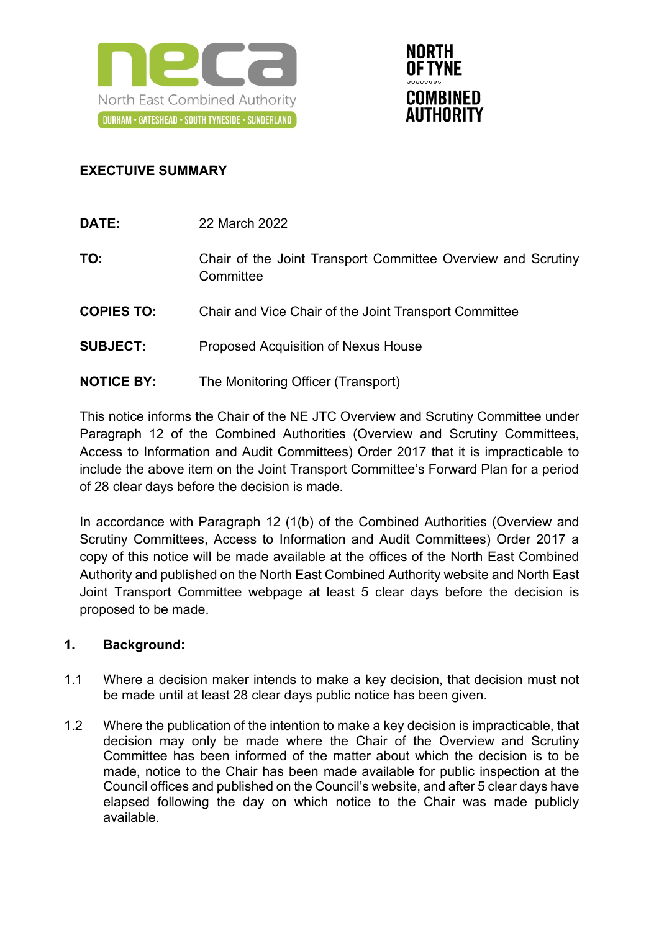



# **EXECTUIVE SUMMARY**

| DATE:             | 22 March 2022                                                             |
|-------------------|---------------------------------------------------------------------------|
| TO:               | Chair of the Joint Transport Committee Overview and Scrutiny<br>Committee |
| <b>COPIES TO:</b> | Chair and Vice Chair of the Joint Transport Committee                     |
| <b>SUBJECT:</b>   | <b>Proposed Acquisition of Nexus House</b>                                |
| <b>NOTICE BY:</b> | The Monitoring Officer (Transport)                                        |

This notice informs the Chair of the NE JTC Overview and Scrutiny Committee under Paragraph 12 of the Combined Authorities (Overview and Scrutiny Committees, Access to Information and Audit Committees) Order 2017 that it is impracticable to include the above item on the Joint Transport Committee's Forward Plan for a period of 28 clear days before the decision is made.

In accordance with Paragraph 12 (1(b) of the Combined Authorities (Overview and Scrutiny Committees, Access to Information and Audit Committees) Order 2017 a copy of this notice will be made available at the offices of the North East Combined Authority and published on the North East Combined Authority website and North East Joint Transport Committee webpage at least 5 clear days before the decision is proposed to be made.

# **1. Background:**

- 1.1 Where a decision maker intends to make a key decision, that decision must not be made until at least 28 clear days public notice has been given.
- 1.2 Where the publication of the intention to make a key decision is impracticable, that decision may only be made where the Chair of the Overview and Scrutiny Committee has been informed of the matter about which the decision is to be made, notice to the Chair has been made available for public inspection at the Council offices and published on the Council's website, and after 5 clear days have elapsed following the day on which notice to the Chair was made publicly available.